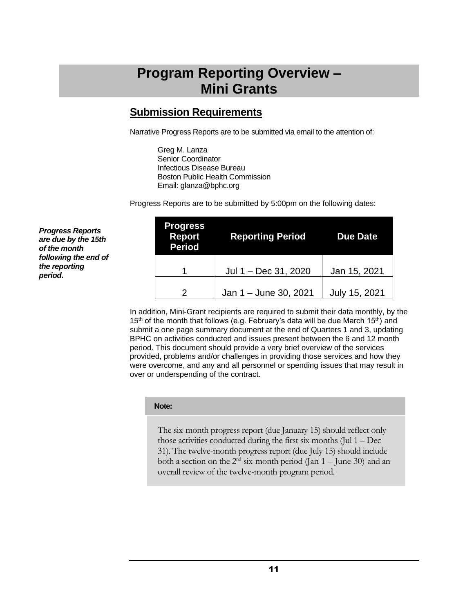# **Program Reporting Overview – Mini Grants**

### **Submission Requirements**

Narrative Progress Reports are to be submitted via email to the attention of:

Greg M. Lanza Senior Coordinator Infectious Disease Bureau Boston Public Health Commission Email: glanza@bphc.org

Progress Reports are to be submitted by 5:00pm on the following dates:

| <b>Progress</b><br><b>Report</b><br><b>Period</b> | <b>Reporting Period</b> | <b>Due Date</b> |  |  |
|---------------------------------------------------|-------------------------|-----------------|--|--|
|                                                   | Jul 1 - Dec 31, 2020    | Jan 15, 2021    |  |  |
|                                                   | Jan 1 - June 30, 2021   | July 15, 2021   |  |  |

In addition, Mini-Grant recipients are required to submit their data monthly, by the 15<sup>th</sup> of the month that follows (e.g. February's data will be due March 15<sup>th</sup>) and submit a one page summary document at the end of Quarters 1 and 3, updating BPHC on activities conducted and issues present between the 6 and 12 month period. This document should provide a very brief overview of the services provided, problems and/or challenges in providing those services and how they were overcome, and any and all personnel or spending issues that may result in over or underspending of the contract.

#### **Note:**

The six-month progress report (due January 15) should reflect only those activities conducted during the first six months (Jul 1 – Dec 31). The twelve-month progress report (due July 15) should include both a section on the  $2<sup>nd</sup>$  six-month period (Jan  $1 -$  June 30) and an overall review of the twelve-month program period.

*Progress Reports are due by the 15th of the month following the end of the reporting period.*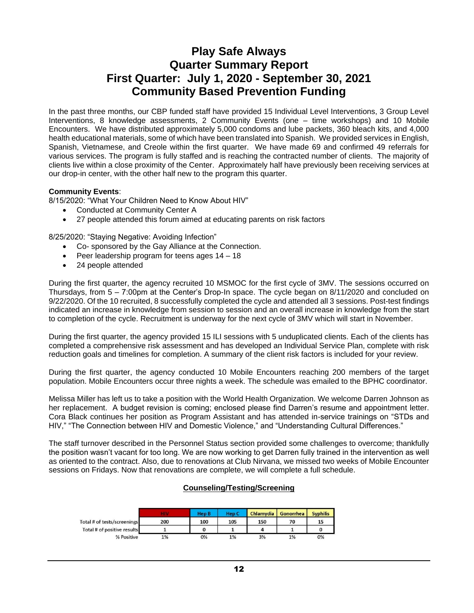## **Play Safe Always Quarter Summary Report First Quarter: July 1, 2020 - September 30, 2021 Community Based Prevention Funding**

In the past three months, our CBP funded staff have provided 15 Individual Level Interventions, 3 Group Level Interventions, 8 knowledge assessments, 2 Community Events (one – time workshops) and 10 Mobile Encounters. We have distributed approximately 5,000 condoms and lube packets, 360 bleach kits, and 4,000 health educational materials, some of which have been translated into Spanish. We provided services in English, Spanish, Vietnamese, and Creole within the first quarter. We have made 69 and confirmed 49 referrals for various services. The program is fully staffed and is reaching the contracted number of clients. The majority of clients live within a close proximity of the Center. Approximately half have previously been receiving services at our drop-in center, with the other half new to the program this quarter.

#### **Community Events**:

8/15/2020: "What Your Children Need to Know About HIV"

- Conducted at Community Center A
- 27 people attended this forum aimed at educating parents on risk factors

8/25/2020: "Staying Negative: Avoiding Infection"

- Co- sponsored by the Gay Alliance at the Connection.
- Peer leadership program for teens ages 14 18
- 24 people attended

During the first quarter, the agency recruited 10 MSMOC for the first cycle of 3MV. The sessions occurred on Thursdays, from 5 – 7:00pm at the Center's Drop-In space. The cycle began on 8/11/2020 and concluded on 9/22/2020. Of the 10 recruited, 8 successfully completed the cycle and attended all 3 sessions. Post-test findings indicated an increase in knowledge from session to session and an overall increase in knowledge from the start to completion of the cycle. Recruitment is underway for the next cycle of 3MV which will start in November.

During the first quarter, the agency provided 15 ILI sessions with 5 unduplicated clients. Each of the clients has completed a comprehensive risk assessment and has developed an Individual Service Plan, complete with risk reduction goals and timelines for completion. A summary of the client risk factors is included for your review.

During the first quarter, the agency conducted 10 Mobile Encounters reaching 200 members of the target population. Mobile Encounters occur three nights a week. The schedule was emailed to the BPHC coordinator.

Melissa Miller has left us to take a position with the World Health Organization. We welcome Darren Johnson as her replacement. A budget revision is coming; enclosed please find Darren's resume and appointment letter. Cora Black continues her position as Program Assistant and has attended in-service trainings on "STDs and HIV," "The Connection between HIV and Domestic Violence," and "Understanding Cultural Differences."

The staff turnover described in the Personnel Status section provided some challenges to overcome; thankfully the position wasn't vacant for too long. We are now working to get Darren fully trained in the intervention as well as oriented to the contract. Also, due to renovations at Club Nirvana, we missed two weeks of Mobile Encounter sessions on Fridays. Now that renovations are complete, we will complete a full schedule.

#### **Counseling/Testing/Screening**

|                             |     | <b>Hep B</b> | <b>Hep C</b> | Chlamydia | Gonorrhea | <b>Syphilis</b> |
|-----------------------------|-----|--------------|--------------|-----------|-----------|-----------------|
| Total # of tests/screenings | 200 | 100          | 105          | 150       | 70        | 15              |
| Total # of positive results |     |              |              |           |           |                 |
| % Positive                  | 1%  | 0%           | 1%           | 3%        | 1%        | 0%              |